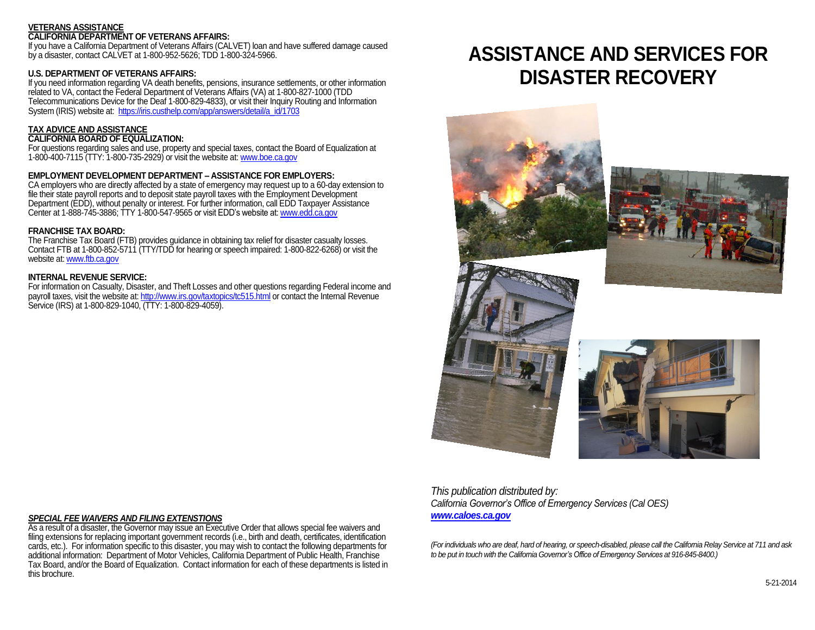#### **VETERANS ASSISTANCE CALIFORNIA DEPARTMENT OF VETERANS AFFAIRS:**

If you have a California Department of Veterans Affairs (CALVET) loan and have suffered damage caused by a disaster, contact CALVET at 1-800-952-5626; TDD 1-800-324-5966.

# **U.S. DEPARTMENT OF VETERANS AFFAIRS:**

If you need information regarding VA death benefits, pensions, insurance settlements, or other information related to VA, contact the Federal Department of Veterans Affairs (VA) at 1-800-827-1000 (TDD Telecommunications Device for the Deaf 1-800-829-4833), or visit their Inquiry Routing and Information System (IRIS) website at: [https://iris.custhelp.com/app/answers/detail/a\\_id/1703](https://iris.custhelp.com/app/answers/detail/a_id/1703)

# **TAX ADVICE AND ASSISTANCE**

# **CALIFORNIA BOARD OF EQUALIZATION:**

For questions regarding sales and use, property and special taxes, contact the Board of Equalization at 1-800-400-7115 (TTY: 1-800-735-2929) or visit the website at[: www.boe.ca.gov](http://www.boe.ca.gov/)

# **EMPLOYMENT DEVELOPMENT DEPARTMENT – ASSISTANCE FOR EMPLOYERS:**

CA employers who are directly affected by a state of emergency may request up to a 60-day extension to file their state payroll reports and to deposit state payroll taxes with the Employment Development Department (EDD), without penalty or interest. For further information, call EDD Taxpayer Assistance Center at 1-888-745-3886; TTY 1-800-547-9565 or visit EDD's website at[: www.edd.ca.gov](http://www.edd.ca.gov/)

## **FRANCHISE TAX BOARD:**

The Franchise Tax Board (FTB) provides guidance in obtaining tax relief for disaster casualty losses. Contact FTB at 1-800-852-5711 (TTY/TDD for hearing or speech impaired: 1-800-822-6268) or visit the website at: [www.ftb.ca.gov](http://www.ftb.ca.gov/)

## **INTERNAL REVENUE SERVICE:**

For information on Casualty, Disaster, and Theft Losses and other questions regarding Federal income and payroll taxes, visit the website at[: http://www.irs.gov/taxtopics/tc515.html](http://www.irs.gov/taxtopics/tc515.html) or contact the Internal Revenue Service (IRS) at 1-800-829-1040, (TTY: 1-800-829-4059).

# **ASSISTANCE AND SERVICES FOR DISASTER RECOVERY**



*This publication distributed by: California Governor's Office of Emergency Services (Cal OES) [www.caloes.ca.gov](http://www.caloes.ca.gov/)*

*(For individuals who are deaf, hard of hearing, or speech-disabled, please call the California Relay Service at 711 and ask to be put in touch with the California Governor's Office of Emergency Services at 916-845-8400.)*

# *SPECIAL FEE WAIVERS AND FILING EXTENSTIONS*

As a result of a disaster, the Governor may issue an Executive Order that allows special fee waivers and filing extensions for replacing important government records (i.e., birth and death, certificates, identification cards, etc.). For information specific to this disaster, you may wish to contact the following departments for additional information: Department of Motor Vehicles, California Department of Public Health, Franchise Tax Board, and/or the Board of Equalization. Contact information for each of these departments is listed in this brochure.